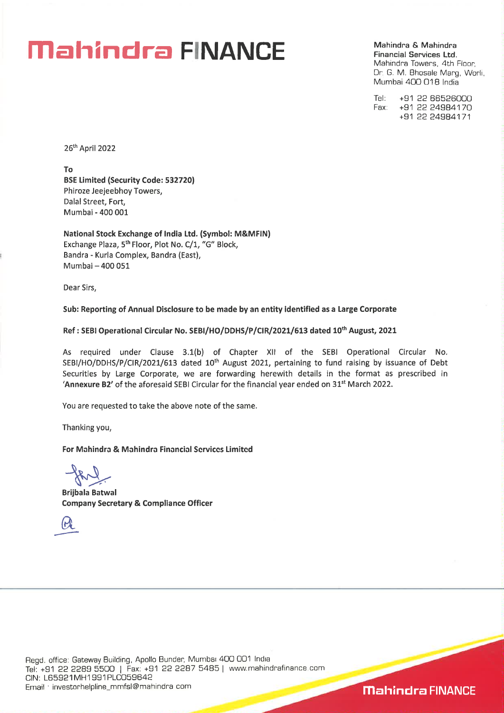### Mahindra FINANCE

Mahindra & Mahindra Financial Services Ltd. Mahindra Towers, 4th Floor, Dr. G. M. Bhosale Marg, Worli, Mumbai 400 018 India

Tel: +91 22 66526000<br>Fax: +91 22 24984170 Fax: +91 22 24984170 +91 22 24984171

26th April 2022

To BSE Limited (Security Code: 532720) Phiroze Jeejeebhoy Towers, Dalai Street, Fort, Mumbai - 400 001

National Stock Exchange of India Ltd. (Symbol: M&MFIN) Exchange Plaza, 5<sup>th</sup> Floor, Plot No. C/1, "G" Block, Bandra - Kuria Complex, Bandra (East), Mumbai — 400 051

Dear Sirs,

#### Sub: Reporting of Annual Disclosure to be made by an entity identified as a Large Corporate

Ref : SEBI Operational Circular No. SEBI/HO/DDHS/P/CIR/2021/613 dated 10th August, 2021

As required under Clause 3.1(b) of Chapter XII of the SEBI Operational Circular No. SEBI/HO/DDHS/P/CIR/2021/613 dated 10<sup>th</sup> August 2021, pertaining to fund raising by issuance of Debt Securities by Large Corporate, we are forwarding herewith details in the format as prescribed in 'Annexure B2' of the aforesaid SEBI Circular for the financial year ended on 31<sup>st</sup> March 2022.

You are requested to take the above note of the same.

Thanking you,

For Mahindra & Mahindra Financial Services Limited

Brijbala Batwal Company Secretary & Compliance Officer

 $\mathcal{M}$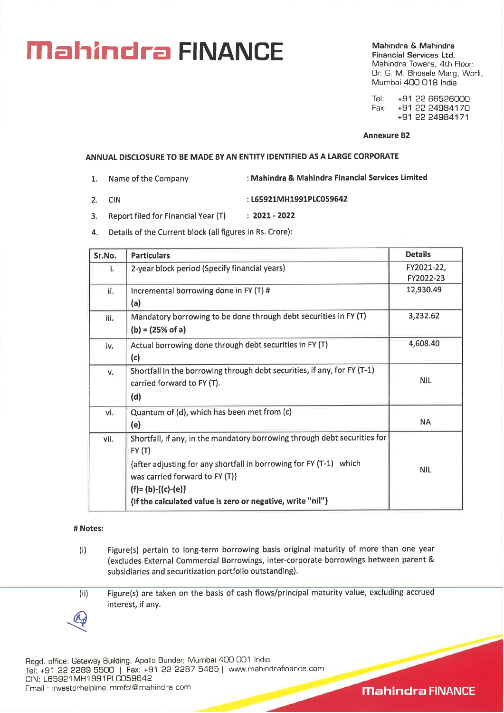# **Mahindra & Mahindra & Mahindra Grand Transland Transland Conduction**

Financial Services Ltd. Mahindra Towers, 4th Floor, Dr. G. M. Bhosaie Marg, Worli. Mumbai 400 018 India

Tel: +91 22 66526000<br>Fax: +91 22 24984170 Fax: +91 22 24984170 +91 22 24984171

Annexure B2

### ANNUAL DISCLOSURE TO BE MADE BY AN ENTITY IDENTIFIED AS A LARGE CORPORATE

- 1. Name of the Company : Mahindra & Mahindra Financial Services Limited
- 2. CIN : L65921MH1991PLC059642
- 3. Report filed for Financial Year  $(T)$  : 2021 2022
- 4. Details of the Current block (all figures in Rs. Crore):

| Sr.No.     | <b>Particulars</b>                                                                                                                                                                        | <b>Details</b>          |
|------------|-------------------------------------------------------------------------------------------------------------------------------------------------------------------------------------------|-------------------------|
| i.         | 2-year block period (Specify financial years)                                                                                                                                             | FY2021-22,<br>FY2022-23 |
| ii.        | Incremental borrowing done in FY (T) #<br>(a)                                                                                                                                             | 12,930.49               |
| iii.       | Mandatory borrowing to be done through debt securities in FY (T)<br>$(b) = (25\% \text{ of a})$                                                                                           | 3,232.62                |
| iv.        | Actual borrowing done through debt securities in FY (T)<br>(c)                                                                                                                            | 4,608.40                |
| $V_{\ast}$ | Shortfall in the borrowing through debt securities, if any, for FY (T-1)<br>carried forward to FY (T).<br>(d)                                                                             | <b>NIL</b>              |
| via        | Quantum of (d), which has been met from (c)<br>(e)                                                                                                                                        | <b>NA</b>               |
| viia       | Shortfall, if any, in the mandatory borrowing through debt securities for<br>FY(T)                                                                                                        |                         |
|            | {after adjusting for any shortfall in borrowing for FY (T-1) which<br>was carried forward to FY (T)}<br>$(f)=(b)-[(c)-(e)]$<br>{If the calculated value is zero or negative, write "nil"} | <b>NIL</b>              |

### # Notes:

- (I) Figure(s) pertain to long-term borrowing basis original maturity of more than one year (excludes External Commercial Borrowings, inter-corporate borrowings between parent & subsidiaries and securitization portfolio outstanding).
- (ii) Figure(s) are taken on the basis of cash flows/principal maturity value, excluding accrued interest, if any.
- 

Regd. office: Gateway Building, Apollo Bunder, Mumbai 400 001 India Tel: +91 22 2289 5500 | Fax: +91 22 2287 5485 | www.mahindrafinance.com CIN: L65921MH1991PLC059642 Email • investorhelpline\_mmfsl@mahindra com **Mahindra FINANCE**